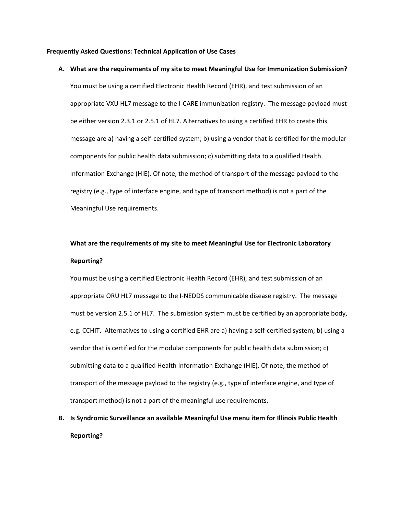## **Frequently Asked Questions: Technical Application of Use Cases**

## **A. What are the requirements of my site to meet Meaningful Use for Immunization Submission?**

You must be using a certified Electronic Health Record (EHR), and test submission of an appropriate VXU HL7 message to the I-CARE immunization registry. The message payload must be either version 2.3.1 or 2.5.1 of HL7. Alternatives to using a certified EHR to create this message are a) having a self-certified system; b) using a vendor that is certified for the modular components for public health data submission; c) submitting data to a qualified Health Information Exchange (HIE). Of note, the method of transport of the message payload to the registry (e.g., type of interface engine, and type of transport method) is not a part of the Meaningful Use requirements.

## **What are the requirements of my site to meet Meaningful Use for Electronic Laboratory Reporting?**

You must be using a certified Electronic Health Record (EHR), and test submission of an appropriate ORU HL7 message to the I‐NEDDS communicable disease registry. The message must be version 2.5.1 of HL7. The submission system must be certified by an appropriate body, e.g. CCHIT. Alternatives to using a certified EHR are a) having a self‐certified system; b) using a vendor that is certified for the modular components for public health data submission; c) submitting data to a qualified Health Information Exchange (HIE). Of note, the method of transport of the message payload to the registry (e.g., type of interface engine, and type of transport method) is not a part of the meaningful use requirements.

## **B. Is Syndromic Surveillance an available Meaningful Use menu item for Illinois Public Health Reporting?**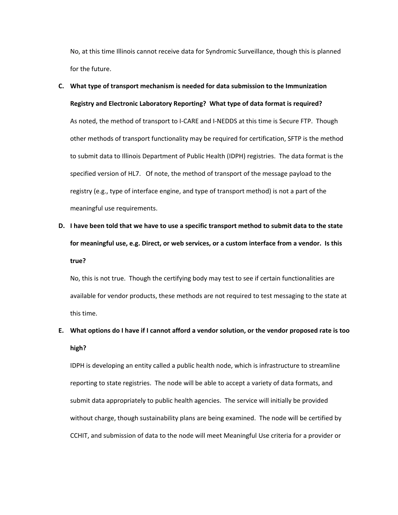No, at this time Illinois cannot receive data for Syndromic Surveillance, though this is planned for the future.

- **C. What type of transport mechanism is needed for data submission to the Immunization Registry and Electronic Laboratory Reporting? What type of data format is required?** As noted, the method of transport to I‐CARE and I‐NEDDS at this time is Secure FTP. Though other methods of transport functionality may be required for certification, SFTP is the method to submit data to Illinois Department of Public Health (IDPH) registries. The data format is the specified version of HL7. Of note, the method of transport of the message payload to the registry (e.g., type of interface engine, and type of transport method) is not a part of the meaningful use requirements.
- D. I have been told that we have to use a specific transport method to submit data to the state **for meaningful use, e.g. Direct, or web services, or a custom interface from a vendor. Is this true?**

No, this is not true. Though the certifying body may test to see if certain functionalities are available for vendor products, these methods are not required to test messaging to the state at this time.

E. What options do I have if I cannot afford a vendor solution, or the vendor proposed rate is too **high?** 

IDPH is developing an entity called a public health node, which is infrastructure to streamline reporting to state registries. The node will be able to accept a variety of data formats, and submit data appropriately to public health agencies. The service will initially be provided without charge, though sustainability plans are being examined. The node will be certified by CCHIT, and submission of data to the node will meet Meaningful Use criteria for a provider or